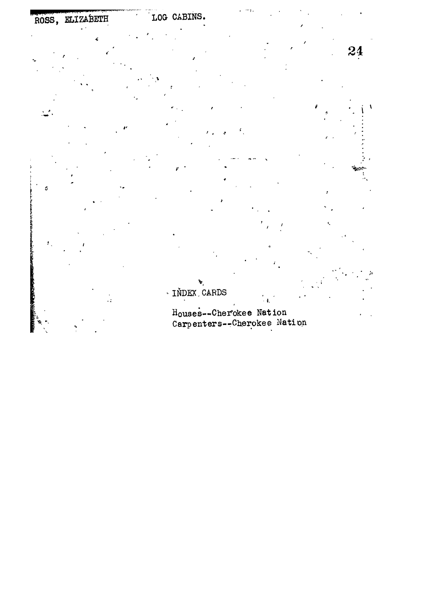







24







 $\cdot$   $\mathfrak{k}_i$ 



 $\bar{\mathcal{L}}$ 



ś.

 $\bar{t}$  .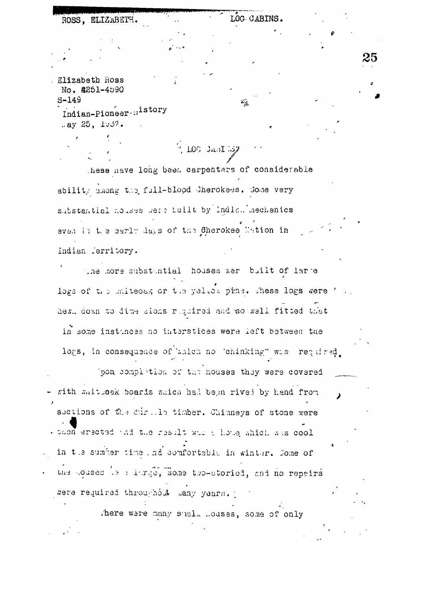Elizabeth Ross No. **4251-4590**  $S - 149$ Indian-Pioneer nistory  $.8y 25, 1937.$ 

ROSS. ELIZABETH.

LOG CABINS.

25

hese nave long been carpentars of considerable ability among the full-blood Cherokees. Some very substantial houses were built by Indian mechanics even in the early days of the Cherokee Nation in Indian ferritory.

 $\sim 100$  Jas $\Gamma$  37

the more substuntial houses wer built of lare logs of the unitedag or the yellow pine. These logs were ' hew, down to dime sions required and so well fitted that in some instances no interstices were left between the logs, in consequence of baich no 'chinking" was required.

pon complation of the houses they were covered rith mitseak boards mich had been rived by hand from sections of the during timber. Chimneys of stone were . then erected and the result who i hous which was cool in the sumber time and comfortable in winter. Some of the couses is a large, some two-storied, and no repairs were required throughout many years.

there were many shall houses, some of only